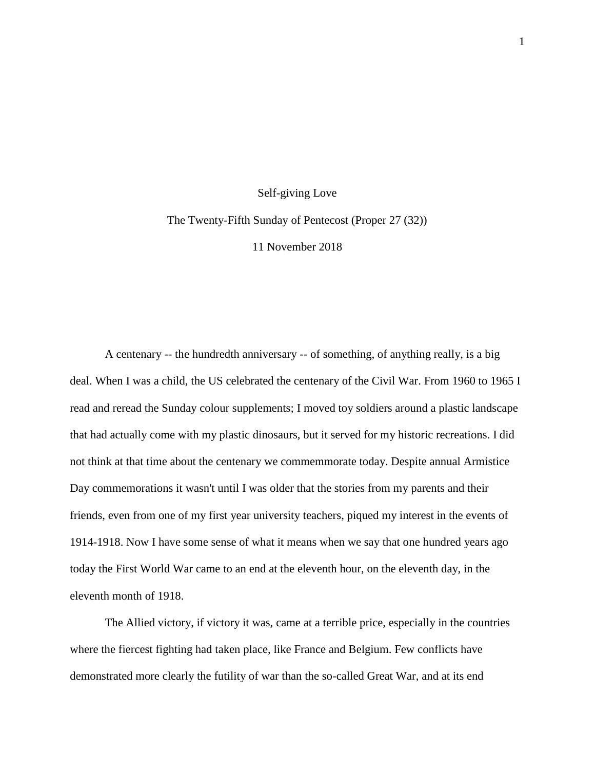## Self-giving Love

## The Twenty-Fifth Sunday of Pentecost (Proper 27 (32))

11 November 2018

A centenary -- the hundredth anniversary -- of something, of anything really, is a big deal. When I was a child, the US celebrated the centenary of the Civil War. From 1960 to 1965 I read and reread the Sunday colour supplements; I moved toy soldiers around a plastic landscape that had actually come with my plastic dinosaurs, but it served for my historic recreations. I did not think at that time about the centenary we commemmorate today. Despite annual Armistice Day commemorations it wasn't until I was older that the stories from my parents and their friends, even from one of my first year university teachers, piqued my interest in the events of 1914-1918. Now I have some sense of what it means when we say that one hundred years ago today the First World War came to an end at the eleventh hour, on the eleventh day, in the eleventh month of 1918.

The Allied victory, if victory it was, came at a terrible price, especially in the countries where the fiercest fighting had taken place, like France and Belgium. Few conflicts have demonstrated more clearly the futility of war than the so-called Great War, and at its end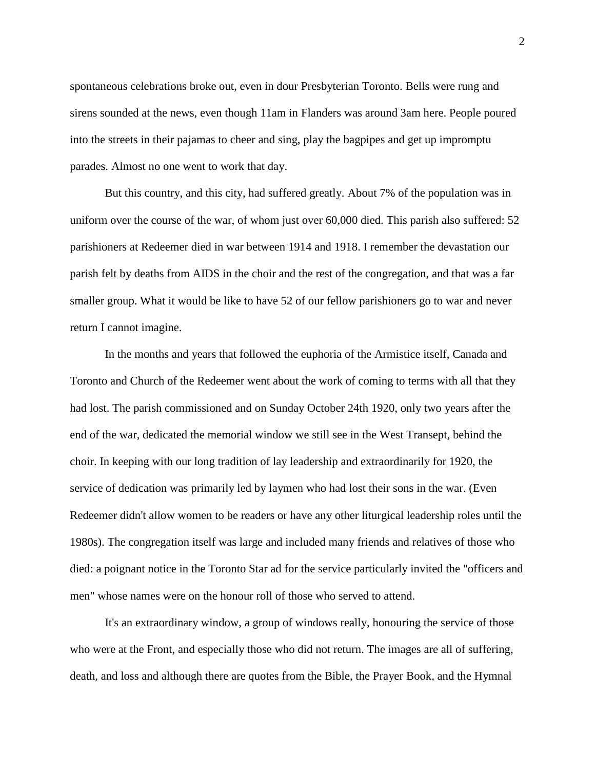spontaneous celebrations broke out, even in dour Presbyterian Toronto. Bells were rung and sirens sounded at the news, even though 11am in Flanders was around 3am here. People poured into the streets in their pajamas to cheer and sing, play the bagpipes and get up impromptu parades. Almost no one went to work that day.

But this country, and this city, had suffered greatly. About 7% of the population was in uniform over the course of the war, of whom just over 60,000 died. This parish also suffered: 52 parishioners at Redeemer died in war between 1914 and 1918. I remember the devastation our parish felt by deaths from AIDS in the choir and the rest of the congregation, and that was a far smaller group. What it would be like to have 52 of our fellow parishioners go to war and never return I cannot imagine.

In the months and years that followed the euphoria of the Armistice itself, Canada and Toronto and Church of the Redeemer went about the work of coming to terms with all that they had lost. The parish commissioned and on Sunday October 24th 1920, only two years after the end of the war, dedicated the memorial window we still see in the West Transept, behind the choir. In keeping with our long tradition of lay leadership and extraordinarily for 1920, the service of dedication was primarily led by laymen who had lost their sons in the war. (Even Redeemer didn't allow women to be readers or have any other liturgical leadership roles until the 1980s). The congregation itself was large and included many friends and relatives of those who died: a poignant notice in the Toronto Star ad for the service particularly invited the "officers and men" whose names were on the honour roll of those who served to attend.

It's an extraordinary window, a group of windows really, honouring the service of those who were at the Front, and especially those who did not return. The images are all of suffering, death, and loss and although there are quotes from the Bible, the Prayer Book, and the Hymnal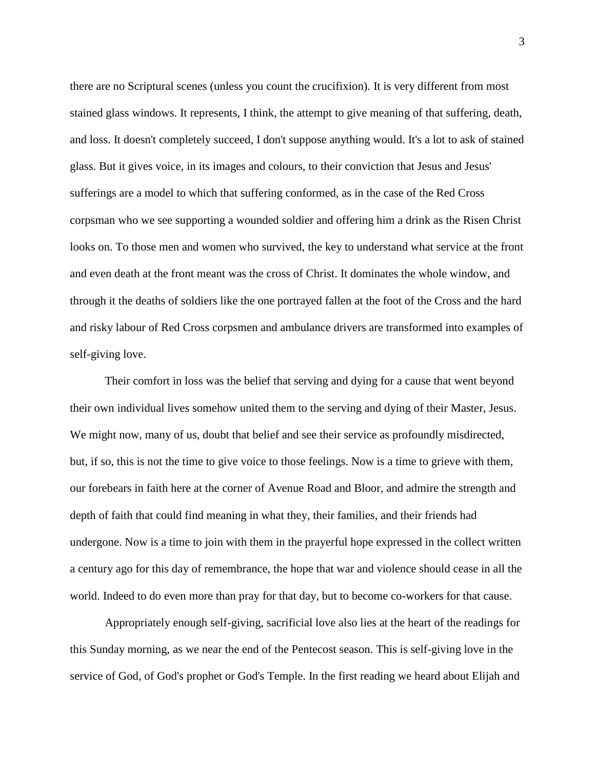there are no Scriptural scenes (unless you count the crucifixion). It is very different from most stained glass windows. It represents, I think, the attempt to give meaning of that suffering, death, and loss. It doesn't completely succeed, I don't suppose anything would. It's a lot to ask of stained glass. But it gives voice, in its images and colours, to their conviction that Jesus and Jesus' sufferings are a model to which that suffering conformed, as in the case of the Red Cross corpsman who we see supporting a wounded soldier and offering him a drink as the Risen Christ looks on. To those men and women who survived, the key to understand what service at the front and even death at the front meant was the cross of Christ. It dominates the whole window, and through it the deaths of soldiers like the one portrayed fallen at the foot of the Cross and the hard and risky labour of Red Cross corpsmen and ambulance drivers are transformed into examples of self-giving love.

Their comfort in loss was the belief that serving and dying for a cause that went beyond their own individual lives somehow united them to the serving and dying of their Master, Jesus. We might now, many of us, doubt that belief and see their service as profoundly misdirected, but, if so, this is not the time to give voice to those feelings. Now is a time to grieve with them, our forebears in faith here at the corner of Avenue Road and Bloor, and admire the strength and depth of faith that could find meaning in what they, their families, and their friends had undergone. Now is a time to join with them in the prayerful hope expressed in the collect written a century ago for this day of remembrance, the hope that war and violence should cease in all the world. Indeed to do even more than pray for that day, but to become co-workers for that cause.

Appropriately enough self-giving, sacrificial love also lies at the heart of the readings for this Sunday morning, as we near the end of the Pentecost season. This is self-giving love in the service of God, of God's prophet or God's Temple. In the first reading we heard about Elijah and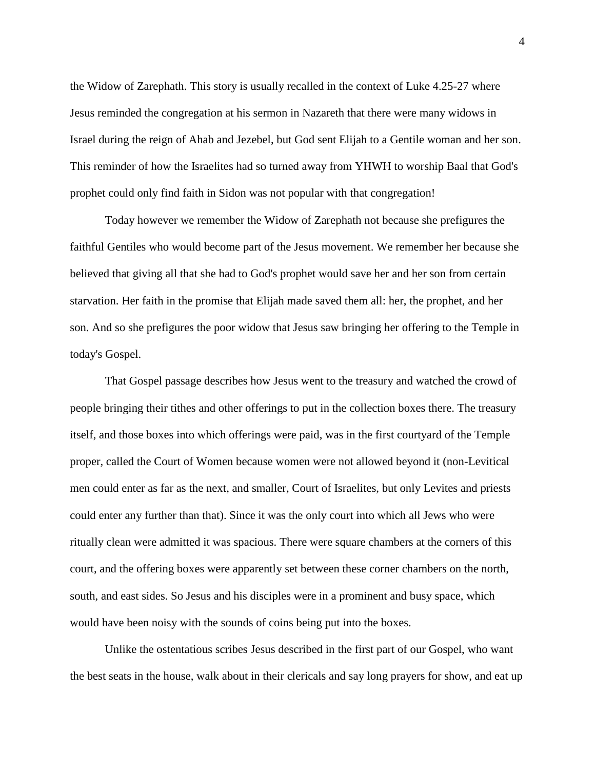the Widow of Zarephath. This story is usually recalled in the context of Luke 4.25-27 where Jesus reminded the congregation at his sermon in Nazareth that there were many widows in Israel during the reign of Ahab and Jezebel, but God sent Elijah to a Gentile woman and her son. This reminder of how the Israelites had so turned away from YHWH to worship Baal that God's prophet could only find faith in Sidon was not popular with that congregation!

Today however we remember the Widow of Zarephath not because she prefigures the faithful Gentiles who would become part of the Jesus movement. We remember her because she believed that giving all that she had to God's prophet would save her and her son from certain starvation. Her faith in the promise that Elijah made saved them all: her, the prophet, and her son. And so she prefigures the poor widow that Jesus saw bringing her offering to the Temple in today's Gospel.

That Gospel passage describes how Jesus went to the treasury and watched the crowd of people bringing their tithes and other offerings to put in the collection boxes there. The treasury itself, and those boxes into which offerings were paid, was in the first courtyard of the Temple proper, called the Court of Women because women were not allowed beyond it (non-Levitical men could enter as far as the next, and smaller, Court of Israelites, but only Levites and priests could enter any further than that). Since it was the only court into which all Jews who were ritually clean were admitted it was spacious. There were square chambers at the corners of this court, and the offering boxes were apparently set between these corner chambers on the north, south, and east sides. So Jesus and his disciples were in a prominent and busy space, which would have been noisy with the sounds of coins being put into the boxes.

Unlike the ostentatious scribes Jesus described in the first part of our Gospel, who want the best seats in the house, walk about in their clericals and say long prayers for show, and eat up